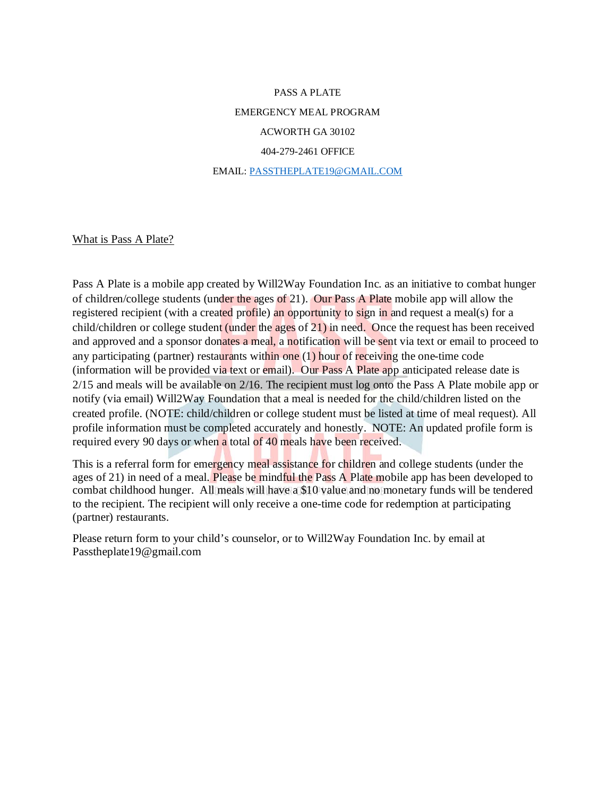PASS A PLATE EMERGENCY MEAL PROGRAM ACWORTH GA 30102 404-279-2461 OFFICE EMAIL: [PASSTHEPLATE19@GMAIL.COM](mailto:PASSTHEPLATE19@GMAIL.COM)

What is Pass A Plate?

Pass A Plate is a mobile app created by Will2Way Foundation Inc. as an initiative to combat hunger of children/college students (under the ages of 21). Our Pass A Plate mobile app will allow the registered recipient (with a created profile) an opportunity to sign in and request a meal(s) for a child/children or college student (under the ages of 21) in need. Once the request has been received and approved and a sponsor donates a meal, a notification will be sent via text or email to proceed to any participating (partner) restaurants within one (1) hour of receiving the one-time code (information will be provided via text or email). Our Pass A Plate app anticipated release date is 2/15 and meals will be available on 2/16. The recipient must log onto the Pass A Plate mobile app or notify (via email) Will2Way Foundation that a meal is needed for the child/children listed on the created profile. (NOTE: child/children or college student must be listed at time of meal request). All profile information must be completed accurately and honestly. NOTE: An updated profile form is required every 90 days or when a total of 40 meals have been received.

This is a referral form for emergency meal assistance for children and college students (under the ages of 21) in need of a meal. Please be mindful the Pass A Plate mobile app has been developed to combat childhood hunger. All meals will have a \$10 value and no monetary funds will be tendered to the recipient. The recipient will only receive a one-time code for redemption at participating (partner) restaurants.

Please return form to your child's counselor, or to Will2Way Foundation Inc. by email at Passtheplate19@gmail.com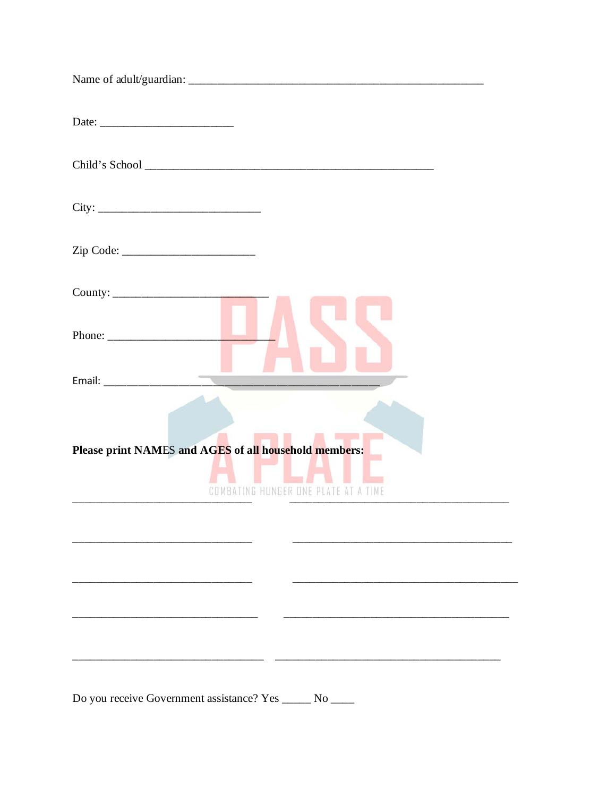| Please print NAMES and AGES of all household members:<br>COMBATING HUNGER ONE PLATE AT A TIME |
|-----------------------------------------------------------------------------------------------|
|                                                                                               |
|                                                                                               |
|                                                                                               |
|                                                                                               |
| Do you receive Government assistance? Yes ______ No _____                                     |